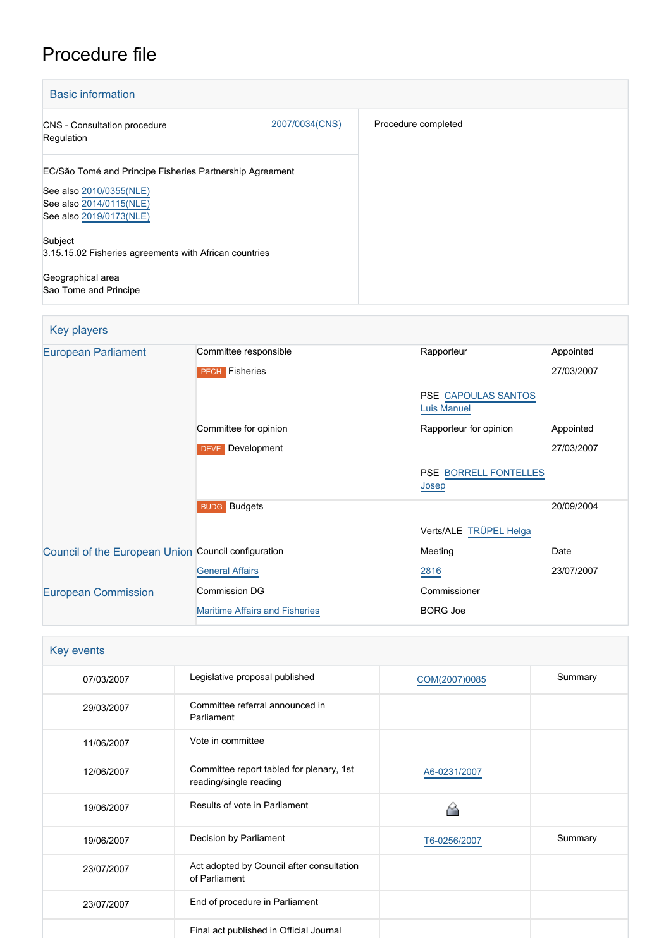# Procedure file

| <b>Basic information</b>                                                                                                                  |                |                     |
|-------------------------------------------------------------------------------------------------------------------------------------------|----------------|---------------------|
| <b>CNS</b> - Consultation procedure<br>Regulation                                                                                         | 2007/0034(CNS) | Procedure completed |
| EC/São Tomé and Príncipe Fisheries Partnership Agreement<br>See also 2010/0355(NLE)<br>See also 2014/0115(NLE)<br>See also 2019/0173(NLE) |                |                     |
| Subject<br>3.15.15.02 Fisheries agreements with African countries                                                                         |                |                     |
| Geographical area<br>Sao Tome and Principe                                                                                                |                |                     |

# Key players

| <b>European Parliament</b>                          | Committee responsible                 | Rapporteur                                | Appointed  |
|-----------------------------------------------------|---------------------------------------|-------------------------------------------|------------|
|                                                     | <b>PECH</b> Fisheries                 |                                           | 27/03/2007 |
|                                                     |                                       | PSE CAPOULAS SANTOS<br><b>Luis Manuel</b> |            |
|                                                     | Committee for opinion                 | Rapporteur for opinion                    | Appointed  |
|                                                     | DEVE Development                      |                                           | 27/03/2007 |
|                                                     |                                       | PSE BORRELL FONTELLES<br>Josep            |            |
|                                                     | <b>BUDG</b> Budgets                   |                                           | 20/09/2004 |
|                                                     |                                       | Verts/ALE TRÜPEL Helga                    |            |
| Council of the European Union Council configuration |                                       | Meeting                                   | Date       |
|                                                     | <b>General Affairs</b>                | 2816                                      | 23/07/2007 |
| <b>European Commission</b>                          | <b>Commission DG</b>                  | Commissioner                              |            |
|                                                     | <b>Maritime Affairs and Fisheries</b> | <b>BORG Joe</b>                           |            |

| Key events |                                                                    |               |         |
|------------|--------------------------------------------------------------------|---------------|---------|
| 07/03/2007 | Legislative proposal published                                     | COM(2007)0085 | Summary |
| 29/03/2007 | Committee referral announced in<br>Parliament                      |               |         |
| 11/06/2007 | Vote in committee                                                  |               |         |
| 12/06/2007 | Committee report tabled for plenary, 1st<br>reading/single reading | A6-0231/2007  |         |
| 19/06/2007 | Results of vote in Parliament                                      |               |         |
| 19/06/2007 | Decision by Parliament                                             | T6-0256/2007  | Summary |
| 23/07/2007 | Act adopted by Council after consultation<br>of Parliament         |               |         |
| 23/07/2007 | End of procedure in Parliament                                     |               |         |
|            | Final act published in Official Journal                            |               |         |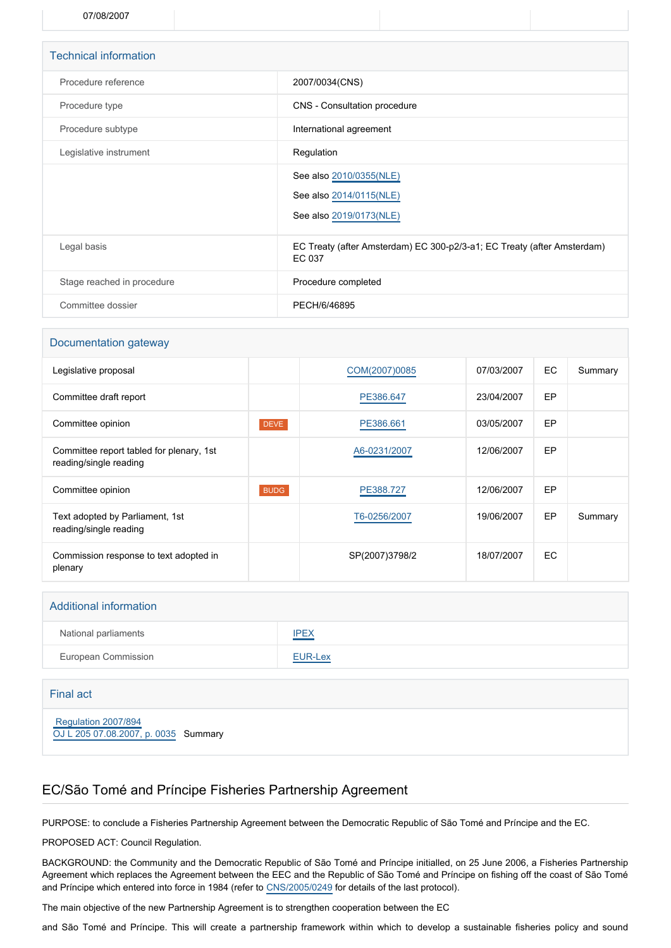| <b>Technical information</b> |                                                                                   |
|------------------------------|-----------------------------------------------------------------------------------|
| Procedure reference          | 2007/0034(CNS)                                                                    |
| Procedure type               | CNS - Consultation procedure                                                      |
| Procedure subtype            | International agreement                                                           |
| Legislative instrument       | Regulation                                                                        |
|                              | See also 2010/0355(NLE)<br>See also 2014/0115(NLE)<br>See also 2019/0173(NLE)     |
| Legal basis                  | EC Treaty (after Amsterdam) EC 300-p2/3-a1; EC Treaty (after Amsterdam)<br>EC 037 |
| Stage reached in procedure   | Procedure completed                                                               |
| Committee dossier            | PECH/6/46895                                                                      |

#### Documentation gateway

| Legislative proposal                                               |             | COM(2007)0085  | 07/03/2007 | EC        | Summary |
|--------------------------------------------------------------------|-------------|----------------|------------|-----------|---------|
| Committee draft report                                             |             | PE386.647      | 23/04/2007 | EP        |         |
| Committee opinion                                                  | <b>DEVE</b> | PE386.661      | 03/05/2007 | EP        |         |
| Committee report tabled for plenary, 1st<br>reading/single reading |             | A6-0231/2007   | 12/06/2007 | EP        |         |
| Committee opinion                                                  | <b>BUDG</b> | PE388.727      | 12/06/2007 | <b>EP</b> |         |
| Text adopted by Parliament, 1st<br>reading/single reading          |             | T6-0256/2007   | 19/06/2007 | EP        | Summary |
| Commission response to text adopted in<br>plenary                  |             | SP(2007)3798/2 | 18/07/2007 | EC        |         |

#### Additional information

| National parliaments | <b>IPEX</b> |
|----------------------|-------------|
| European Commission  | EUR-Lex     |

| Final act                                                   |  |
|-------------------------------------------------------------|--|
| Regulation 2007/894<br>OJ L 205 07.08.2007, p. 0035 Summary |  |

### EC/São Tomé and Príncipe Fisheries Partnership Agreement

PURPOSE: to conclude a Fisheries Partnership Agreement between the Democratic Republic of São Tomé and Príncipe and the EC.

PROPOSED ACT: Council Regulation.

BACKGROUND: the Community and the Democratic Republic of São Tomé and Príncipe initialled, on 25 June 2006, a Fisheries Partnership Agreement which replaces the Agreement between the EEC and the Republic of São Tomé and Príncipe on fishing off the coast of São Tomé and Príncipe which entered into force in 1984 (refer to [CNS/2005/0249](http://www.europarl.europa.eu/oeil/FindByProcnum.do?lang=en&procnum=CNS/2005/0249) for details of the last protocol).

The main objective of the new Partnership Agreement is to strengthen cooperation between the EC

and São Tomé and Príncipe. This will create a partnership framework within which to develop a sustainable fisheries policy and sound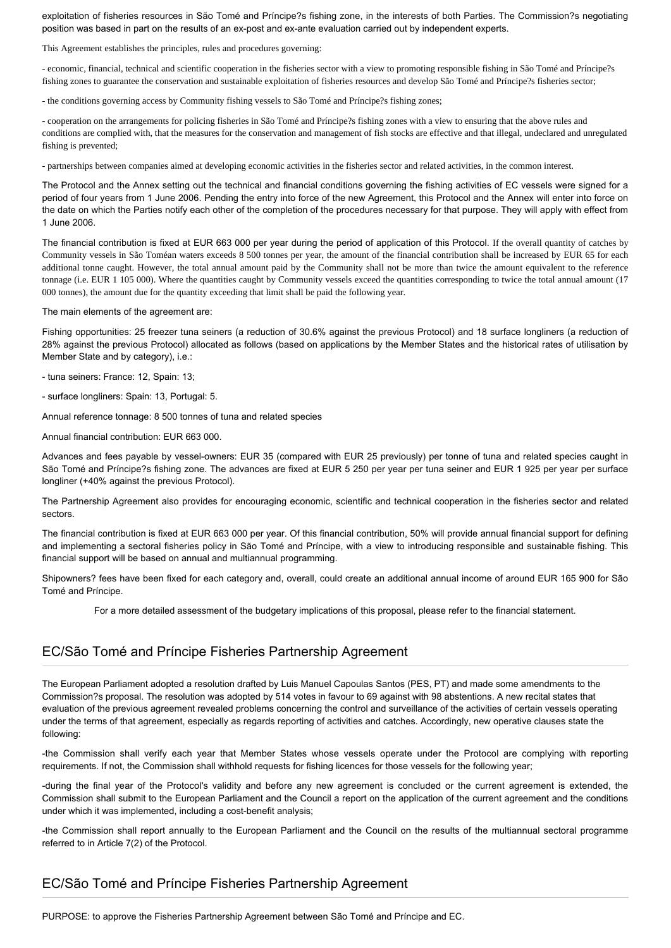exploitation of fisheries resources in São Tomé and Príncipe?s fishing zone, in the interests of both Parties. The Commission?s negotiating position was based in part on the results of an ex-post and ex-ante evaluation carried out by independent experts.

This Agreement establishes the principles, rules and procedures governing:

- economic, financial, technical and scientific cooperation in the fisheries sector with a view to promoting responsible fishing in São Tomé and Príncipe?s fishing zones to guarantee the conservation and sustainable exploitation of fisheries resources and develop São Tomé and Príncipe?s fisheries sector;

- the conditions governing access by Community fishing vessels to São Tomé and Príncipe?s fishing zones;

- cooperation on the arrangements for policing fisheries in São Tomé and Príncipe?s fishing zones with a view to ensuring that the above rules and conditions are complied with, that the measures for the conservation and management of fish stocks are effective and that illegal, undeclared and unregulated fishing is prevented;

- partnerships between companies aimed at developing economic activities in the fisheries sector and related activities, in the common interest.

The Protocol and the Annex setting out the technical and financial conditions governing the fishing activities of EC vessels were signed for a period of four years from 1 June 2006. Pending the entry into force of the new Agreement, this Protocol and the Annex will enter into force on the date on which the Parties notify each other of the completion of the procedures necessary for that purpose. They will apply with effect from 1 June 2006.

The financial contribution is fixed at EUR 663 000 per year during the period of application of this Protocol. If the overall quantity of catches by Community vessels in São Toméan waters exceeds 8 500 tonnes per year, the amount of the financial contribution shall be increased by EUR 65 for each additional tonne caught. However, the total annual amount paid by the Community shall not be more than twice the amount equivalent to the reference tonnage (i.e. EUR 1 105 000). Where the quantities caught by Community vessels exceed the quantities corresponding to twice the total annual amount (17 000 tonnes), the amount due for the quantity exceeding that limit shall be paid the following year.

The main elements of the agreement are:

Fishing opportunities: 25 freezer tuna seiners (a reduction of 30.6% against the previous Protocol) and 18 surface longliners (a reduction of 28% against the previous Protocol) allocated as follows (based on applications by the Member States and the historical rates of utilisation by Member State and by category), i.e.:

- tuna seiners: France: 12, Spain: 13;

- surface longliners: Spain: 13, Portugal: 5.

Annual reference tonnage: 8 500 tonnes of tuna and related species

Annual financial contribution: EUR 663 000.

Advances and fees payable by vessel-owners: EUR 35 (compared with EUR 25 previously) per tonne of tuna and related species caught in São Tomé and Príncipe?s fishing zone. The advances are fixed at EUR 5 250 per year per tuna seiner and EUR 1 925 per year per surface longliner (+40% against the previous Protocol).

The Partnership Agreement also provides for encouraging economic, scientific and technical cooperation in the fisheries sector and related sectors.

The financial contribution is fixed at EUR 663 000 per year. Of this financial contribution, 50% will provide annual financial support for defining and implementing a sectoral fisheries policy in São Tomé and Príncipe, with a view to introducing responsible and sustainable fishing. This financial support will be based on annual and multiannual programming.

Shipowners? fees have been fixed for each category and, overall, could create an additional annual income of around EUR 165 900 for São Tomé and Príncipe.

For a more detailed assessment of the budgetary implications of this proposal, please refer to the financial statement.

# EC/São Tomé and Príncipe Fisheries Partnership Agreement

The European Parliament adopted a resolution drafted by Luis Manuel Capoulas Santos (PES, PT) and made some amendments to the Commission?s proposal. The resolution was adopted by 514 votes in favour to 69 against with 98 abstentions. A new recital states that evaluation of the previous agreement revealed problems concerning the control and surveillance of the activities of certain vessels operating under the terms of that agreement, especially as regards reporting of activities and catches. Accordingly, new operative clauses state the following:

-the Commission shall verify each year that Member States whose vessels operate under the Protocol are complying with reporting requirements. If not, the Commission shall withhold requests for fishing licences for those vessels for the following year;

-during the final year of the Protocol's validity and before any new agreement is concluded or the current agreement is extended, the Commission shall submit to the European Parliament and the Council a report on the application of the current agreement and the conditions under which it was implemented, including a cost-benefit analysis;

-the Commission shall report annually to the European Parliament and the Council on the results of the multiannual sectoral programme referred to in Article 7(2) of the Protocol.

# EC/São Tomé and Príncipe Fisheries Partnership Agreement

PURPOSE: to approve the Fisheries Partnership Agreement between São Tomé and Príncipe and EC.